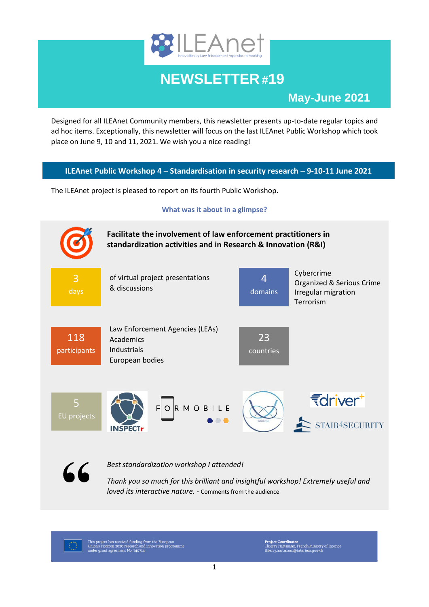

# **NEWSLETTER #19**

# **May-June 2021**

Designed for all ILEAnet Community members, this newsletter presents up-to-date regular topics and ad hoc items. Exceptionally, this newsletter will focus on the last ILEAnet Public Workshop which took place on June 9, 10 and 11, 2021. We wish you a nice reading!

# **ILEAnet Public Workshop 4 – Standardisation in security research – 9-10-11 June 2021**

The ILEAnet project is pleased to report on its fourth Public Workshop.

#### **What was it about in a glimpse?**





*Best standardization workshop I attended!*

*Thank you so much for this brilliant and insightful workshop! Extremely useful and loved its interactive nature. -* Comments from the audience

This project has received funding from the European<br>Union's Horizon 2020 research and innovation programme<br>under grant agreement No. 740714.

Project Coordinator<br>Thierry Hartmann, French Ministry of Interior<br>thierry.hartmann@interieur.gouv.fr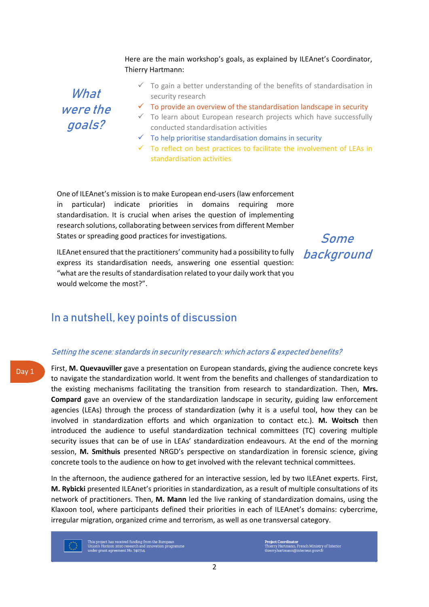#### Here are the main workshop's goals, as explained by ILEAnet's Coordinator, Thierry Hartmann:

What were the goals?

- $\checkmark$  To gain a better understanding of the benefits of standardisation in security research
- $\checkmark$  To provide an overview of the standardisation landscape in security
- $\checkmark$  To learn about European research projects which have successfully conducted standardisation activities
- $\checkmark$  To help prioritise standardisation domains in security
- $\checkmark$  To reflect on best practices to facilitate the involvement of LEAs in standardisation activities

One of ILEAnet's mission is to make European end-users (law enforcement in particular) indicate priorities in domains requiring more standardisation. It is crucial when arises the question of implementing research solutions, collaborating between services from different Member States or spreading good practices for investigations.

Some background

ILEAnet ensured that the practitioners' community had a possibility to fully express its standardisation needs, answering one essential question: "what are the results of standardisation related to your daily work that you would welcome the most?".

# In a nutshell, key points of discussion

#### Setting the scene: standards in security research: which actors & expected benefits?

First, **M. Quevauviller** gave a presentation on European standards, giving the audience concrete keys to navigate the standardization world. It went from the benefits and challenges of standardization to the existing mechanisms facilitating the transition from research to standardization. Then, **Mrs. Compard** gave an overview of the standardization landscape in security, guiding law enforcement agencies (LEAs) through the process of standardization (why it is a useful tool, how they can be involved in standardization efforts and which organization to contact etc.). **M. Woitsch** then introduced the audience to useful standardization technical committees (TC) covering multiple security issues that can be of use in LEAs' standardization endeavours. At the end of the morning session, **M. Smithuis** presented NRGD's perspective on standardization in forensic science, giving concrete tools to the audience on how to get involved with the relevant technical committees.

In the afternoon, the audience gathered for an interactive session, led by two ILEAnet experts. First, **M. Rybicki** presented ILEAnet's priorities in standardization, as a result of multiple consultations of its network of practitioners. Then, **M. Mann** led the live ranking of standardization domains, using the Klaxoon tool, where participants defined their priorities in each of ILEAnet's domains: cybercrime, irregular migration, organized crime and terrorism, as well as one transversal category.

his project has received funding from the European<br>nion's Horizon 2020 research and innovation programme<br>nder grant agreement No. 740714.

Project Coordinator<br>Thierry Hartmann, French Ministry of Interio:<br>thierry.hartmann@interieur.gouv.fr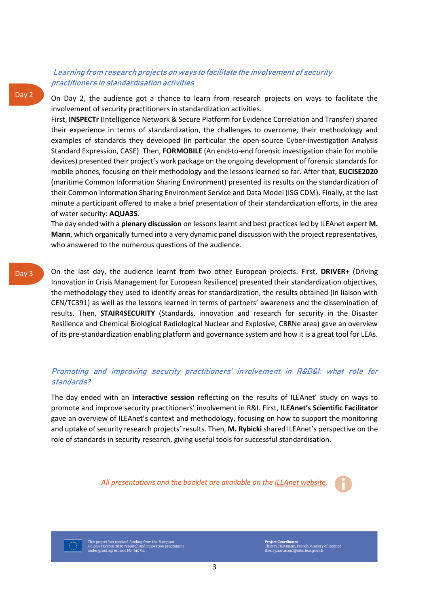#### Learning from research projects on ways to facilitate the involvement of security practitioners in standardisation activities

Day 2

Day 3

On Day 2, the audience got a chance to learn from research projects on ways to facilitate the involvement of security practitioners in standardization activities.

First, **INSPECTr** (Intelligence Network & Secure Platform for Evidence Correlation and Transfer) shared their experience in terms of standardization, the challenges to overcome, their methodology and examples of standards they developed (in particular the open-source Cyber-investigation Analysis Standard Expression, CASE). Then, **FORMOBILE** (An end-to-end forensic investigation chain for mobile devices) presented their project's work package on the ongoing development of forensic standards for mobile phones, focusing on their methodology and the lessons learned so far. After that, **EUCISE2020**  (maritime Common Information Sharing Environment) presented its results on the standardization of their Common Information Sharing Environment Service and Data Model (ISG CDM). Finally, at the last minute a participant offered to make a brief presentation of their standardization efforts, in the area of water security: **AQUA3S**.

The day ended with a **plenary discussion** on lessons learnt and best practices led by ILEAnet expert **M. Mann**, which organically turned into a very dynamic panel discussion with the project representatives, who answered to the numerous questions of the audience.

On the last day, the audience learnt from two other European projects. First, **DRIVER**+ (Driving Innovation in Crisis Management for European Resilience) presented their standardization objectives, the methodology they used to identify areas for standardization, the results obtained (in liaison with CEN/TC391) as well as the lessons learned in terms of partners' awareness and the dissemination of results. Then, **STAIR4SECURITY** (Standards, innovation and research for security in the Disaster Resilience and Chemical Biological Radiological Nuclear and Explosive, CBRNe area) gave an overview of its pre-standardization enabling platform and governance system and how it is a great tool for LEAs.

### Promoting and improving security practitioners' involvement in R&D&I: what role for standards?

The day ended with an **interactive session** reflecting on the results of ILEAnet' study on ways to promote and improve security practitioners' involvement in R&I. First, **ILEAnet's Scientific Facilitator** gave an overview of ILEAnet's context and methodology, focusing on how to support the monitoring and uptake of security research projects' results. Then, **M. Rybicki** shared ILEAnet's perspective on the role of standards in security research, giving useful tools for successful standardisation.

*All presentations and the booklet are available on the [ILEAnet website.](https://www.ileanet.eu/news/news-events/tx_news/ileanet-public-workshop-4-on-standardisation-in-security-research/?tx_news_pi1%5Bcontroller%5D=News&tx_news_pi1%5Baction%5D=detail&cHash=18a67a4c8aa0ce4001165929ff31a322)*